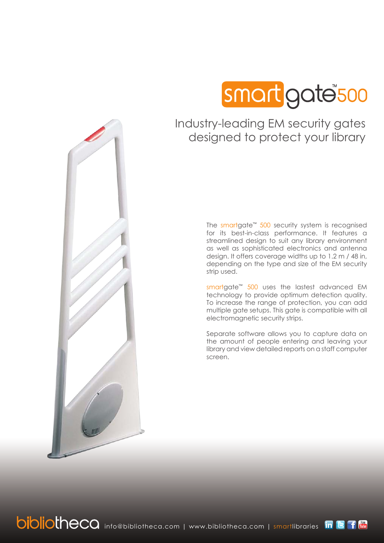

# Industry-leading EM security gates designed to protect your library

The smartgate™ 500 security system is recognised for its best-in-class performance. It features a streamlined design to suit any library environment as well as sophisticated electronics and antenna design. It offers coverage widths up to 1.2 m / 48 in, depending on the type and size of the EM security strip used.

smartgate™ 500 uses the lastest advanced EM technology to provide optimum detection quality. To increase the range of protection, you can add multiple gate setups. This gate is compatible with all electromagnetic security strips.

Separate software allows you to capture data on the amount of people entering and leaving your library and view detailed reports on a staff computer screen.

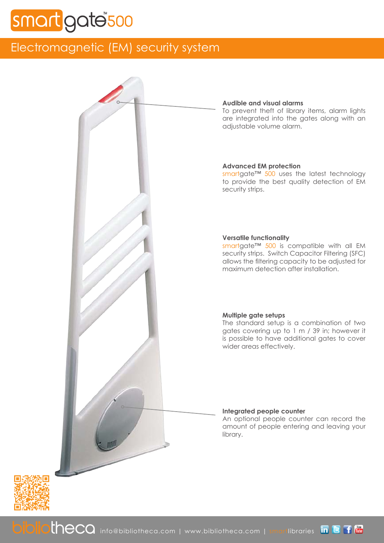# gate<sup>®</sup>500

# Electromagnetic (EM) security system



## **Audible and visual alarms**

To prevent theft of library items, alarm lights are integrated into the gates along with an adjustable volume alarm.

# **Advanced EM protection**

smartgate<sup>™</sup> 500 uses the latest technology to provide the best quality detection of EM security strips.

## **Versatile functionality**

smartgate<sup>™</sup> 500 is compatible with all EM security strips. Switch Capacitor Filtering (SFC) allows the filtering capacity to be adjusted for maximum detection after installation.

## **Multiple gate setups**

The standard setup is a combination of two gates covering up to 1 m / 39 in; however it is possible to have additional gates to cover wider areas effectively.

### **Integrated people counter**

An optional people counter can record the amount of people entering and leaving your library.